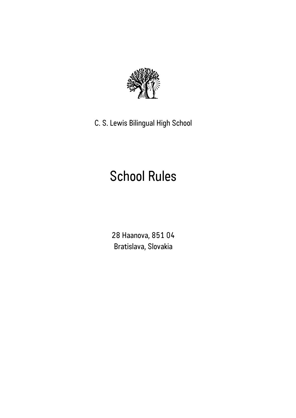

C. S. Lewis Bilingual High School

# School Rules

28 Haanova, 851 04 Bratislava, Slovakia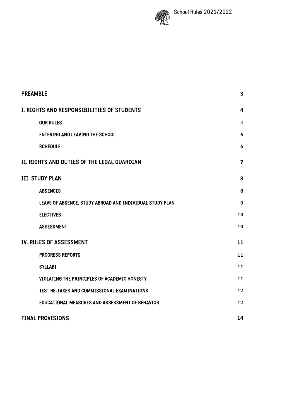

| <b>PREAMBLE</b>                                          | 3              |  |
|----------------------------------------------------------|----------------|--|
| I. RIGHTS AND RESPONSIBILITIES OF STUDENTS               |                |  |
| <b>OUR RULES</b>                                         | 4              |  |
| <b>ENTERING AND LEAVING THE SCHOOL</b>                   | 6              |  |
| <b>SCHEDULE</b>                                          | 6              |  |
| II. RIGHTS AND DUTIES OF THE LEGAL GUARDIAN              | $\overline{7}$ |  |
| <b>III. STUDY PLAN</b>                                   | 8              |  |
| <b>ABSENCES</b>                                          | 8              |  |
| LEAVE OF ABSENCE, STUDY ABROAD AND INDIVIDUAL STUDY PLAN | 9              |  |
| <b>ELECTIVES</b>                                         | 10             |  |
| <b>ASSESSMENT</b>                                        | 10             |  |
| <b>IV. RULES OF ASSESSMENT</b>                           | 11             |  |
| <b>PROGRESS REPORTS</b>                                  | 11             |  |
| <b>SYLLABI</b>                                           | 11             |  |
| VIOLATING THE PRINCIPLES OF ACADEMIC HONESTY             | 11             |  |
| TEST RE-TAKES AND COMMISSIONAL EXAMINATIONS              | 12             |  |
| EDUCATIONAL MEASURES AND ASSESSMENT OF BEHAVIOR          | 12             |  |
| <b>FINAL PROVISIONS</b>                                  | 14             |  |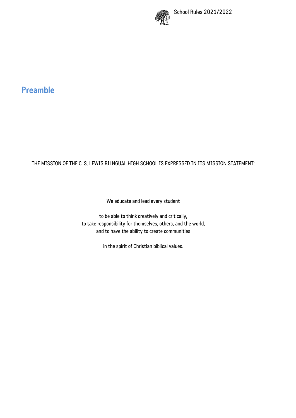

# Preamble

#### THE MISSION OF THE C. S. LEWIS BILNGUAL HIGH SCHOOL IS EXPRESSED IN ITS MISSION STATEMENT:

We educate and lead every student

to be able to think creatively and critically, to take responsibility for themselves, others, and the world, and to have the ability to create communities

in the spirit of Christian biblical values.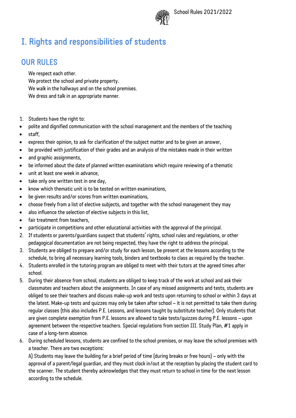

# I. Rights and responsibilities of students

#### OUR RULES

We respect each other. We protect the school and private property. We walk in the hallways and on the school premises. We dress and talk in an appropriate manner.

- 1. Students have the right to:
- polite and dignified communication with the school management and the members of the teaching
- staff,
- express their opinion, to ask for clarification of the subject matter and to be given an answer,
- be provided with justification of their grades and an analysis of the mistakes made in their written
- and graphic assignments,
- be informed about the date of planned written examinations which require reviewing of a thematic
- unit at least one week in advance,
- take only one written test in one day,
- know which thematic unit is to be tested on written examinations.
- be given results and/or scores from written examinations,
- choose freely from a list of elective subjects, and together with the school management they may
- also influence the selection of elective subjects in this list,
- fair treatment from teachers,
- participate in competitions and other educational activities with the approval of the principal.
- 2. If students or parents/guardians suspect that students' rights, school rules and regulations, or other pedagogical documentation are not being respected, they have the right to address the principal.
- 3. Students are obliged to prepare and/or study for each lesson, be present at the lessons according to the schedule, to bring all necessary learning tools, binders and textbooks to class as required by the teacher.
- 4. Students enrolled in the tutoring program are obliged to meet with their tutors at the agreed times after school.
- 5. During their absence from school, students are obliged to keep track of the work at school and ask their classmates and teachers about the assignments. In case of any missed assignments and tests, students are obliged to see their teachers and discuss make-up work and tests upon returning to school or within 3 days at the latest. Make-up tests and quizzes may only be taken after school – it is not permitted to take them during regular classes (this also includes P.E. Lessons, and lessons taught by substitute teacher). Only students that are given complete exemption from P.E. lessons are allowed to take tests/quizzes during P.E. lessons – upon agreement between the respective teachers. Special regulations from section III. Study Plan, #1 apply in case of a long-term absence.
- 6. During scheduled lessons, students are confined to the school premises, or may leave the school premises with a teacher. There are two exceptions:

A) Students may leave the building for a brief period of time (during breaks or free hours) – only with the approval of a parent/legal guardian, and they must clock in/out at the reception by placing the student card to the scanner. The student thereby acknowledges that they must return to school in time for the next lesson according to the schedule.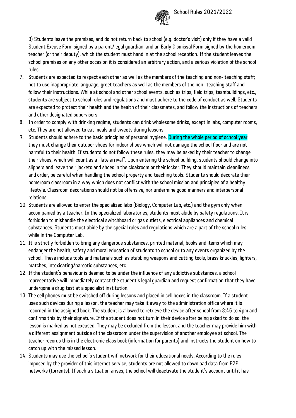

B) Students leave the premises, and do not return back to school (e.g. doctor's visit) only if they have a valid Student Excuse Form signed by a parent/legal guardian, and an Early Dismissal Form signed by the homeroom teacher (or their deputy), which the student must hand in at the school reception. If the student leaves the school premises on any other occasion it is considered an arbitrary action, and a serious violation of the school rules.

- 7. Students are expected to respect each other as well as the members of the teaching and non- teaching staff; not to use inappropriate language, greet teachers as well as the members of the non- teaching staff and follow their instructions. While at school and other school events, such as trips, field trips, teambuildings, etc., students are subject to school rules and regulations and must adhere to the code of conduct as well. Students are expected to protect their health and the health of their classmates, and follow the instructions of teachers and other designated supervisors.
- 8. In order to comply with drinking regime, students can drink wholesome drinks, except in labs, computer rooms, etc. They are not allowed to eat meals and sweets during lessons.
- 9. Students should adhere to the basic principles of personal hygiene. During the whole period of school year they must change their outdoor shoes for indoor shoes which will not damage the school floor and are not harmful to their health. If students do not follow these rules, they may be asked by their teacher to change their shoes, which will count as a "late arrival". Upon entering the school building, students should change into slippers and leave their jackets and shoes in the cloakroom or their locker. They should maintain cleanliness and order, be careful when handling the school property and teaching tools. Students should decorate their homeroom classroom in a way which does not conflict with the school mission and principles of a healthy lifestyle. Classroom decorations should not be offensive, nor undermine good manners and interpersonal relations.
- 10. Students are allowed to enter the specialized labs (Biology, Computer Lab, etc.) and the gym only when accompanied by a teacher. In the specialized laboratories, students must abide by safety regulations. It is forbidden to mishandle the electrical switchboard or gas outlets, electrical appliances and chemical substances. Students must abide by the special rules and regulations which are a part of the school rules while in the Computer Lab.
- 11. It is strictly forbidden to bring any dangerous substances, printed material, books and items which may endanger the health, safety and moral education of students to school or to any events organized by the school. These include tools and materials such as stabbing weapons and cutting tools, brass knuckles, lighters, matches, intoxicating/narcotic substances, etc.
- 12. If the student's behaviour is deemed to be under the influence of any addictive substances, a school representative will immediately contact the student's legal guardian and request confirmation that they have undergone a drug test at a specialist institution.
- 13. The cell phones must be switched off during lessons and placed in cell boxes in the classroom. If a student uses such devices during a lesson, the teacher may take it away to the administration office where it is recorded in the assigned book. The student is allowed to retrieve the device after school from 3:45 to 4pm and confirms this by their signature. If the student does not turn in their device after being asked to do so, the lesson is marked as not excused. They may be excluded from the lesson, and the teacher may provide him with a different assignment outside of the classroom under the supervision of another employee at school. The teacher records this in the electronic class book (information for parents) and instructs the student on how to catch up with the missed lesson.
- 14. Students may use the school's student wifi network for their educational needs. According to the rules imposed by the provider of this internet service, students are not allowed to download data from P2P networks (torrents). If such a situation arises, the school will deactivate the student's account until it has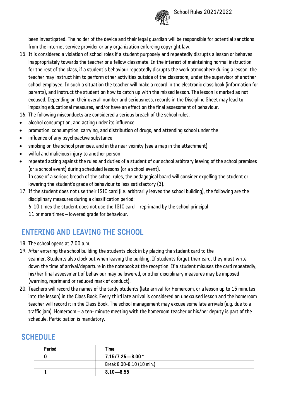

been investigated. The holder of the device and their legal guardian will be responsible for potential sanctions from the internet service provider or any organization enforcing copyright law.

- 15. It is considered a violation of school roles if a student purposely and repeatedly disrupts a lesson or behaves inappropriately towards the teacher or a fellow classmate. In the interest of maintaining normal instruction for the rest of the class, if a student's behaviour repeatedly disrupts the work atmosphere during a lesson, the teacher may instruct him to perform other activities outside of the classroom, under the supervisor of another school employee. In such a situation the teacher will make a record in the electronic class book (information for parents), and instruct the student on how to catch up with the missed lesson. The lesson is marked as not excused. Depending on their overall number and seriousness, records in the Discipline Sheet may lead to imposing educational measures, and/or have an effect on the final assessment of behaviour.
- 16. The following misconducts are considered a serious breach of the school rules:
- alcohol consumption, and acting under its influence
- promotion, consumption, carrying, and distribution of drugs, and attending school under the
- influence of any psychoactive substance
- smoking on the school premises, and in the near vicinity (see a map in the attachment)
- wilful and malicious injury to another person
- repeated acting against the rules and duties of a student of our school arbitrary leaving of the school premises (or a school event) during scheduled lessons (or a school event). In case of a serious breach of the school rules, the pedagogical board will consider expelling the student or lowering the student's grade of behaviour to less satisfactory (3).
- 17. If the student does not use their ISIC card (i.e. arbitrarily leaves the school building), the following are the disciplinary measures during a classification period:

6-10 times the student does not use the ISIC card – reprimand by the school principal

11 or more times – lowered grade for behaviour.

#### ENTERING AND LEAVING THE SCHOOL

- 18. The school opens at 7:00 a.m.
- 19. After entering the school building the students clock in by placing the student card to the scanner. Students also clock out when leaving the building. If students forget their card, they must write down the time of arrival/departure in the notebook at the reception. If a student misuses the card repeatedly, his/her final assessment of behaviour may be lowered, or other disciplinary measures may be imposed (warning, reprimand or reduced mark of conduct).
- 20. Teachers will record the names of the tardy students (late arrival for Homeroom, or a lesson up to 15 minutes into the lesson) in the Class Book. Every third late arrival is considered an unexcused lesson and the homeroom teacher will record it in the Class Book. The school management may excuse some late arrivals (e.g. due to a traffic jam). Homeroom – a ten- minute meeting with the homeroom teacher or his/her deputy is part of the schedule. Participation is mandatory.

#### SCHEDULE

| Period | Time                      |
|--------|---------------------------|
|        | $7.15/7.25 - 8.00$ *      |
|        | Break 8.00-8.10 (10 min.) |
|        | $8.10 - 8.55$             |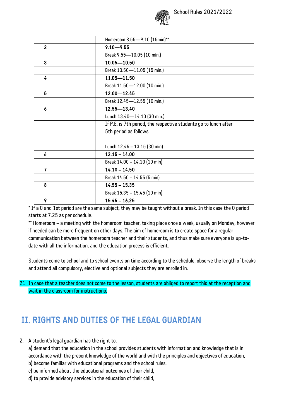

|                  | Homeroom 8.55-9.10 (15min)**                                     |  |
|------------------|------------------------------------------------------------------|--|
| $\overline{2}$   | $9.10 - 9.55$                                                    |  |
|                  | Break 9.55-10.05 (10 min.)                                       |  |
| 3                | $10.05 - 10.50$                                                  |  |
|                  | Break 10.50-11.05 (15 min.)                                      |  |
| 4                | $11.05 - 11.50$                                                  |  |
|                  | Break 11.50-12.00 (10 min.)                                      |  |
| 5                | $12.00 - 12.45$                                                  |  |
|                  | Break 12.45-12.55 (10 min.)                                      |  |
| 6                | 12.55-13.40                                                      |  |
|                  | Lunch 13.40-14.10 (30 min.)                                      |  |
|                  | If P.E. is 7th period, the respective students go to lunch after |  |
|                  | 5th period as follows:                                           |  |
|                  |                                                                  |  |
|                  | Lunch 12.45 - 13.15 (30 min)                                     |  |
| $\boldsymbol{b}$ | $12.15 - 14.00$                                                  |  |
|                  | Break 14.00 - 14.10 (10 min)                                     |  |
| $\overline{7}$   | $14.10 - 14.50$                                                  |  |
|                  | Break 14.50 - 14.55 (5 min)                                      |  |
| 8                | $14.55 - 15.35$                                                  |  |
|                  | Break 15.35 - 15.45 (10 min)                                     |  |
| 9                | $15.45 - 16.25$                                                  |  |

\* If a 0 and 1st period are the same subject, they may be taught without a break. In this case the 0 period starts at 7.25 as per schedule.

\*\* Homeroom – a meeting with the homeroom teacher, taking place once a week, usually on Monday, however if needed can be more frequent on other days. The aim of homeroom is to create space for a regular communication between the homeroom teacher and their students, and thus make sure everyone is up-todate with all the information, and the education process is efficient.

Students come to school and to school events on time according to the schedule, observe the length of breaks and attend all compulsory, elective and optional subjects they are enrolled in.

21. In case that a teacher does not come to the lesson, students are obliged to report this at the reception and wait in the classroom for instructions.

# II. RIGHTS AND DUTIES OF THE LEGAL GUARDIAN

2. A student's legal guardian has the right to:

a) demand that the education in the school provides students with information and knowledge that is in accordance with the present knowledge of the world and with the principles and objectives of education, b) become familiar with educational programs and the school rules,

- c) be informed about the educational outcomes of their child,
- d) to provide advisory services in the education of their child,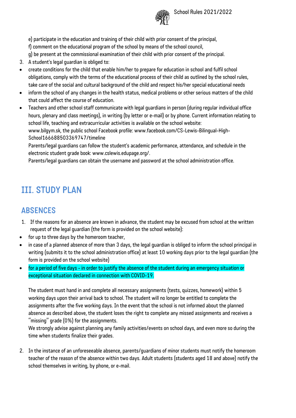

e) participate in the education and training of their child with prior consent of the principal,

- f) comment on the educational program of the school by means of the school council,
- g) be present at the commissional examination of their child with prior consent of the principal.
- 3. A student's legal guardian is obliged to:
- create conditions for the child that enable him/her to prepare for education in school and fulfil school obligations, comply with the terms of the educational process of their child as outlined by the school rules, take care of the social and cultural background of the child and respect his/her special educational needs
- inform the school of any changes in the health status, medical problems or other serious matters of the child that could affect the course of education.
- Teachers and other school staff communicate with legal guardians in person (during regular individual office hours, plenary and class meetings), in writing (by letter or e-mail) or by phone. Current information relating to school life, teaching and extracurricular activities is available on the school website: www.bilgym.sk, the public school Facebook profile: www.facebook.com/CS-Lewis-Bilingual-High-

School166688503369747/timeline

Parents/legal guardians can follow the student's academic performance, attendance, and schedule in the electronic student grade book: www.cslewis.edupage.org/.

Parents/legal guardians can obtain the username and password at the school administration office.

# III. STUDY PLAN

### ABSENCES

- 1. If the reasons for an absence are known in advance, the student may be excused from school at the written request of the legal guardian (the form is provided on the school website):
- for up to three days by the homeroom teacher,
- in case of a planned absence of more than 3 days, the legal guardian is obliged to inform the school principal in writing (submits it to the school administration office) at least 10 working days prior to the legal guardian (the form is provided on the school website)
- for a period of five days in order to justify the absence of the student during an emergency situation or exceptional situation declared in connection with COVID-19.

The student must hand in and complete all necessary assignments (tests, quizzes, homework) within 5 working days upon their arrival back to school. The student will no longer be entitled to complete the assignments after the five working days. In the event that the school is not informed about the planned absence as described above, the student loses the right to complete any missed assignments and receives a "missing" grade (0%) for the assignments.

We strongly advise against planning any family activities/events on school days, and even more so during the time when students finalize their grades.

2. In the instance of an unforeseeable absence, parents/guardians of minor students must notify the homeroom teacher of the reason of the absence within two days. Adult students (students aged 18 and above) notify the school themselves in writing, by phone, or e-mail.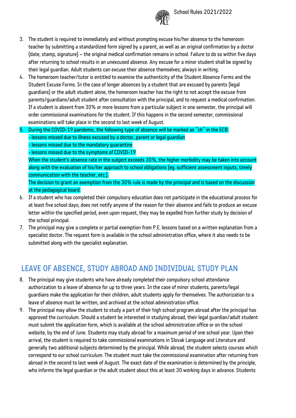

- 3. The student is required to immediately and without prompting excuse his/her absence to the homeroom teacher by submitting a standardized form signed by a parent, as well as an original confirmation by a doctor (date, stamp, signature) – the original medical confirmation remains in school. Failure to do so within five days after returning to school results in an unexcused absence. Any excuse for a minor student shall be signed by their legal guardian. Adult students can excuse their absence themselves; always in writing.
- 4. The homeroom teacher/tutor is entitled to examine the authenticity of the Student Absence Forms and the Student Excuse Forms. In the case of longer absences by a student that are excused by parents (legal guardians) or the adult student alone, the homeroom teacher has the right to not accept the excuse from parents/guardians/adult student after consultation with the principal, and to request a medical confirmation. If a student is absent from 30% or more lessons from a particular subject in one semester, the principal will order commissional examinations for the student. If this happens in the second semester, commissional examinations will take place in the second to last week of August.
- 5. During the COVID-19 pandemic, the following type of absence will be marked as "ch" in the ECB: - lessons missed due to illness excused by a doctor, parent or legal quardian - lessons missed due to the mandatory quarantine - lessons missed due to the symptoms of COVID-19

When the student's absence rate in the subject exceeds 30%, the higher morbidity may be taken into account along with the evaluation of his/her approach to school obligations (eg. sufficient assessment inputs, timely communication with the teacher, etc.).

The decision to grant an exemption from the 30% rule is made by the principal and is based on the discussion at the pedagogical board.

- 6. If a student who has completed their compulsory education does not participate in the educational process for at least five school days; does not notify anyone of the reason for their absence and fails to produce an excuse letter within the specified period, even upon request, they may be expelled from further study by decision of the school principal.
- 7. The principal may give a complete or partial exemption from P.E. lessons based on a written explanation from a specialist doctor. The request form is available in the school administration office, where it also needs to be submitted along with the specialist explanation.

### LEAVE OF ABSENCE, STUDY ABROAD AND INDIVIDUAL STUDY PLAN

- 8. The principal may give students who have already completed their compulsory school attendance authorization to a leave of absence for up to three years. In the case of minor students, parents/legal guardians make the application for their children, adult students apply for themselves. The authorization to a leave of absence must be written, and archived at the school administration office.
- 9. The principal may allow the student to study a part of their high school program abroad after the principal has approved the curriculum. Should a student be interested in studying abroad, their legal guardian/adult student must submit the application form, which is available at the school administration office or on the school website, by the end of June. Students may study abroad for a maximum period of one school year. Upon their arrival, the student is required to take commissional examinations in Slovak Language and Literature and generally two additional subjects determined by the principal. While abroad, the student selects courses which correspond to our school curriculum. The student must take the commissional examination after returning from abroad in the second to last week of August. The exact date of the examination is determined by the principle, who informs the legal guardian or the adult student about this at least 30 working days in advance. Students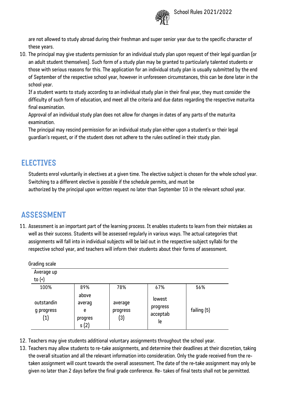

are not allowed to study abroad during their freshman and super senior year due to the specific character of these years.

10. The principal may give students permission for an individual study plan upon request of their legal guardian (or an adult student themselves). Such form of a study plan may be granted to particularly talented students or those with serious reasons for this. The application for an individual study plan is usually submitted by the end of September of the respective school year, however in unforeseen circumstances, this can be done later in the school year.

If a student wants to study according to an individual study plan in their final year, they must consider the difficulty of such form of education, and meet all the criteria and due dates regarding the respective maturita final examination.

Approval of an individual study plan does not allow for changes in dates of any parts of the maturita examination.

The principal may rescind permission for an individual study plan either upon a student's or their legal guardian's request, or if the student does not adhere to the rules outlined in their study plan.

#### ELECTIVES

Students enrol voluntarily in electives at a given time. The elective subject is chosen for the whole school year. Switching to a different elective is possible if the schedule permits, and must be authorized by the principal upon written request no later than September 10 in the relevant school year.

# ASSESSMENT

11. Assessment is an important part of the learning process. It enables students to learn from their mistakes as well as their success. Students will be assessed regularly in various ways. The actual categories that assignments will fall into in individual subjects will be laid out in the respective subject syllabi for the respective school year, and teachers will inform their students about their forms of assessment.

| Grading scale                                 |                                          |                            |                                      |             |
|-----------------------------------------------|------------------------------------------|----------------------------|--------------------------------------|-------------|
| Average up<br>to $($                          |                                          |                            |                                      |             |
| 100%                                          | 89%                                      | 78%                        | 67%                                  | 56%         |
| outstandin<br>g progress<br>$\left( 1\right)$ | above<br>averag<br>e<br>progres<br>s (2) | average<br>progress<br>(3) | lowest<br>progress<br>acceptab<br>le | failing (5) |

12. Teachers may give students additional voluntary assignments throughout the school year.

13. Teachers may allow students to re-take assignments, and determine their deadlines at their discretion, taking the overall situation and all the relevant information into consideration. Only the grade received from the retaken assignment will count towards the overall assessment. The date of the re-take assignment may only be given no later than 2 days before the final grade conference. Re- takes of final tests shall not be permitted.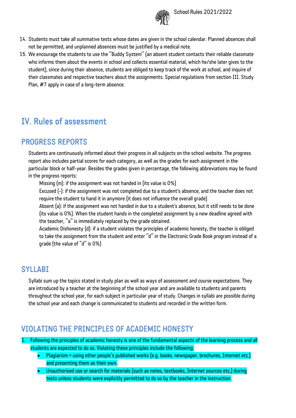

- 14. Students must take all summative tests whose dates are given in the school calendar. Planned absences shall not be permitted, and unplanned absences must be justified by a medical note.
- 15. We encourage the students to use the "Buddy System" (an absent student contacts their reliable classmate who informs them about the events in school and collects essential material, which he/she later gives to the student), since during their absence, students are obliged to keep track of the work at school, and inquire of their classmates and respective teachers about the assignments. Special regulations from section III. Study Plan, #7 apply in case of a long-term absence.

# IV. Rules of assessment

#### PROGRESS REPORTS

Students are continuously informed about their progress in all subjects on the school website. The progress report also includes partial scores for each category, as well as the grades for each assignment in the particular block or half-year. Besides the grades given in percentage, the following abbreviations may be found in the progress reports:

Missing (m): if the assignment was not handed in (its value is 0%)

Excused (-): if the assignment was not completed due to a student's absence, and the teacher does not require the student to hand it in anymore (it does not influence the overall grade)

Absent (a): if the assignment was not handed in due to a student's absence, but it still needs to be done (its value is 0%). When the student hands in the completed assignment by a new deadline agreed with the teacher, "a" is immediately replaced by the grade obtained.

Academic Dishonesty (d): if a student violates the principles of academic honesty, the teacher is obliged to take the assignment from the student and enter "d" in the Electronic Grade Book program instead of a grade (the value of "d" is 0%)

#### **SYLLABI**

Syllabi sum up the topics stated in study plan as well as ways of assessment and course expectations. They are introduced by a teacher at the beginning of the school year and are available to students and parents throughout the school year, for each subject in particular year of study. Changes in syllabi are possible during the school year and each change is communicated to students and recorded in the written form.

#### VIOLATING THE PRINCIPLES OF ACADEMIC HONESTY

1. Following the principles of academic honesty is one of the fundamental aspects of the learning process and all students are expected to do so. Violating these principles include the following:

- Plagiarism = using other people's published works (e.g. books, newspaper, brochures, Internet etc.) and presenting them as their own.
- Unauthorised use or search for materials (such as notes, textbooks, Internet sources etc.) during tests unless students were explicitly permitted to do so by the teacher in the instruction.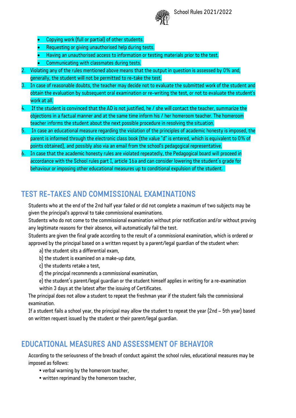

School Rules 2021/2022

- Copying work (full or partial) of other students.
- Requesting or giving unauthorised help during tests.
- Having an unauthorised access to information or testing materials prior to the test.
- Communicating with classmates during tests.
- 2. Violating any of the rules mentioned above means that the output in question is assessed by 0% and. generally, the student will not be permitted to re-take the test.
- 3. In case of reasonable doubts, the teacher may decide not to evaluate the submitted work of the student and obtain the evaluation by subsequent oral examination or re-writing the test, or not to evaluate the student's work at all.
- 4. If the student is convinced that the AD is not justified, he / she will contact the teacher, summarize the objections in a factual manner and at the same time inform his / her homeroom teacher. The homeroom teacher informs the student about the next possible procedure in resolving the situation.
- 5. In case an educational measure regarding the violation of the principles of academic honesty is imposed, the parent is informed through the electronic class book (the value "d" is entered, which is equivalent to 0% of points obtained), and possibly also via an email from the school's pedagogical representative.
- 6. In case that the academic honesty rules are violated repeatedly, the Pedagogical board will proceed in accordance with the School rules part I, article 16a and can consider lowering the student's grade for behaviour or imposing other educational measures up to conditional expulsion of the student.

### TEST RE-TAKES AND COMMISSIONAL EXAMINATIONS

Students who at the end of the 2nd half year failed or did not complete a maximum of two subjects may be given the principal's approval to take commissional examinations.

Students who do not come to the commissional examination without prior notification and/or without proving any legitimate reasons for their absence, will automatically fail the test.

Students are given the final grade according to the result of a commissional examination, which is ordered or approved by the principal based on a written request by a parent/legal guardian of the student when:

- a) the student sits a differential exam,
- b) the student is examined on a make-up date,
- c) the students retake a test,
- d) the principal recommends a commissional examination,
- e) the student's parent/legal guardian or the student himself applies in writing for a re-examination within 3 days at the latest after the issuing of Certificates.

The principal does not allow a student to repeat the freshman year if the student fails the commissional examination.

If a student fails a school year, the principal may allow the student to repeat the year (2nd – 5th year) based on written request issued by the student or their parent/legal guardian.

#### EDUCATIONAL MEASURES AND ASSESSMENT OF BEHAVIOR

According to the seriousness of the breach of conduct against the school rules, educational measures may be imposed as follows:

- verbal warning by the homeroom teacher,
- written reprimand by the homeroom teacher,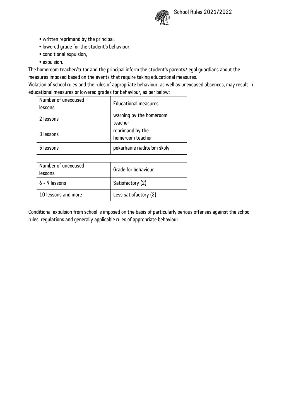

- written reprimand by the principal,
- lowered grade for the student's behaviour,
- conditional expulsion,
- expulsion.

The homeroom teacher/tutor and the principal inform the student's parents/legal guardians about the measures imposed based on the events that require taking educational measures.

Violation of school rules and the rules of appropriate behaviour, as well as unexcused absences, may result in educational measures or lowered grades for behaviour, as per below:

| Number of unexcused<br>lessons | <b>Educational measures</b> |  |
|--------------------------------|-----------------------------|--|
| 2 lessons                      | warning by the homeroom     |  |
|                                | teacher                     |  |
| 3 lessons                      | reprimand by the            |  |
|                                | homeroom teacher            |  |
| 5 lessons                      | pokarhanie riaditeľom školy |  |
|                                |                             |  |
| Number of unexcused            | Grade for behaviour         |  |
| lessons                        |                             |  |
| $6 - 9$ lessons                | Satisfactory (2)            |  |
| 10 lessons and more            | Less satisfactory (3)       |  |

Conditional expulsion from school is imposed on the basis of particularly serious offenses against the school rules, regulations and generally applicable rules of appropriate behaviour.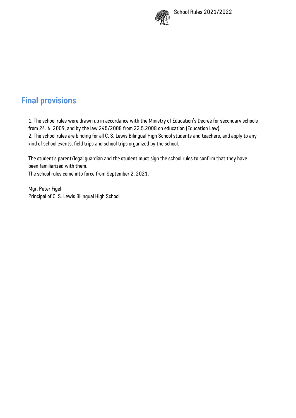

# Final provisions

1. The school rules were drawn up in accordance with the Ministry of Education's Decree for secondary schools from 24. 6. 2009, and by the law 245/2008 from 22.5.2008 on education (Education Law). 2. The school rules are binding for all C. S. Lewis Bilingual High School students and teachers, and apply to any kind of school events, field trips and school trips organized by the school.

The student's parent/legal guardian and the student must sign the school rules to confirm that they have been familiarized with them.

The school rules come into force from September 2, 2021.

Mgr. Peter Figel Principal of C. S. Lewis Bilingual High School